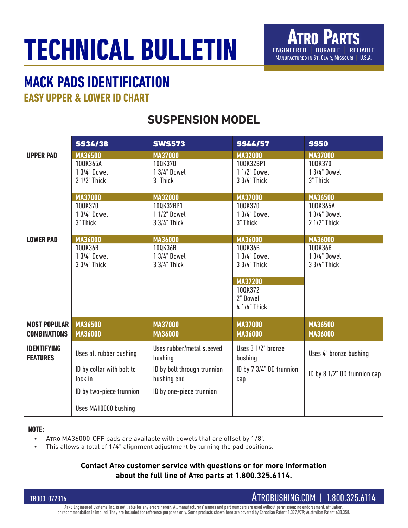## **TECHNICAL BULLETIN**

## **MACK PADS IDENTIFICATION**

**EASY UPPER & LOWER ID CHART**

## **SUSPENSION MODEL**

|                                       | <b>SS34/38</b>                                                                                                      | <b>SWS573</b>                                                                                                  | <b>SS44/57</b>                                                                                                     | <b>SS50</b>                                               |
|---------------------------------------|---------------------------------------------------------------------------------------------------------------------|----------------------------------------------------------------------------------------------------------------|--------------------------------------------------------------------------------------------------------------------|-----------------------------------------------------------|
| <b>UPPER PAD</b>                      | <b>MA36500</b>                                                                                                      | <b>MA37000</b>                                                                                                 | <b>MA32000</b>                                                                                                     | <b>MA37000</b>                                            |
|                                       | 100K365A                                                                                                            | 100K370                                                                                                        | 100K32BP1                                                                                                          | 100K370                                                   |
|                                       | 1 3/4" Dowel                                                                                                        | 1 3/4" Dowel                                                                                                   | 1 1/2" Dowel                                                                                                       | 1 3/4" Dowel                                              |
|                                       | 2 1/2" Thick                                                                                                        | 3" Thick                                                                                                       | 3 3/4" Thick                                                                                                       | 3" Thick                                                  |
|                                       | <b>MA37000</b>                                                                                                      | <b>MA32000</b>                                                                                                 | <b>MA37000</b>                                                                                                     | <b>MA36500</b>                                            |
|                                       | 100K370                                                                                                             | 100K32BP1                                                                                                      | 100K370                                                                                                            | 100K365A                                                  |
|                                       | 1 3/4" Dowel                                                                                                        | 1 1/2" Dowel                                                                                                   | 1 3/4" Dowel                                                                                                       | 1 3/4" Dowel                                              |
|                                       | 3" Thick                                                                                                            | 3 3/4" Thick                                                                                                   | 3" Thick                                                                                                           | 2 1/2" Thick                                              |
| <b>LOWER PAD</b>                      | <b>MA36000</b><br>100K36B<br>1 3/4" Dowel<br>3 3/4" Thick                                                           | <b>MA36000</b><br>100K36B<br>1 3/4" Dowel<br>3 3/4" Thick                                                      | <b>MA36000</b><br>100K36B<br>1 3/4" Dowel<br>3 3/4" Thick<br><b>MA37200</b><br>100K372<br>2" Dowel<br>4 1/4" Thick | <b>MA36000</b><br>100K36B<br>1 3/4" Dowel<br>3 3/4" Thick |
| <b>MOST POPULAR</b>                   | MA36500                                                                                                             | <b>MA37000</b>                                                                                                 | <b>MA37000</b>                                                                                                     | <b>MA36500</b>                                            |
| <b>COMBINATIONS</b>                   | <b>MA36000</b>                                                                                                      | <b>MA36000</b>                                                                                                 | <b>MA36000</b>                                                                                                     | <b>MA36000</b>                                            |
| <b>IDENTIFYING</b><br><b>FEATURES</b> | Uses all rubber bushing<br>ID by collar with bolt to<br>lock in<br>ID by two-piece trunnion<br>Uses MA10000 bushing | Uses rubber/metal sleeved<br>bushing<br>ID by bolt through trunnion<br>bushing end<br>ID by one-piece trunnion | Uses 3 1/2" bronze<br>bushing<br>ID by 7 3/4" OD trunnion<br>cap                                                   | Uses 4" bronze bushing<br>ID by 8 1/2" OD trunnion cap    |

#### **NOTE:**

- Atro MA36000-OFF pads are available with dowels that are offset by 1/8".
- This allows a total of 1/4" alignment adjustment by turning the pad positions.

#### **Contact Atro customer service with questions or for more information about the full line of Atro parts at 1.800.325.6114.**

TB003-072314

Atro Engineered Systems, Inc. is not liable for any errors herein. All manufacturers' names and part numbers are used without permission; no endorsement, affiliation, or recommendation is implied. They are included for reference purposes only. Some products shown here are covered by Canadian Patent 1,327,979; Australian Patent 630,358.